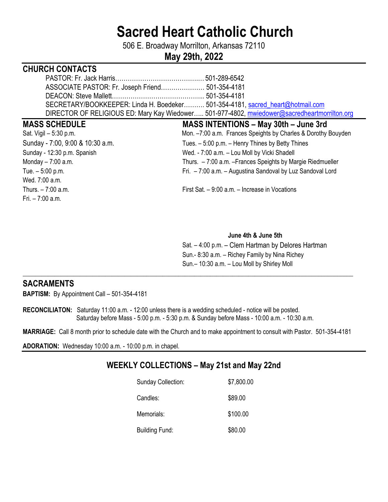# **Sacred Heart Catholic Church**

506 E. Broadway Morrilton, Arkansas 72110

# **May 29th, 2022**

### **CHURCH CONTACTS**

| SECRETARY/BOOKKEEPER: Linda H. Boedeker 501-354-4181, sacred heart@hotmail.com               |  |
|----------------------------------------------------------------------------------------------|--|
| DIRECTOR OF RELIGIOUS ED: Mary Kay Wiedower 501-977-4802, mwiedower@sacredheartmorrilton.org |  |

Wed. 7:00 a.m. Fri. – 7:00 a.m.

## **MASS SCHEDULE MASS INTENTIONS – May 30th – June 3rd**  Sat. Vigil – 5:30 p.m. The same state of the Mon. –7:00 a.m. Frances Speights by Charles & Dorothy Bouyden Sunday - 7:00, 9:00 & 10:30 a.m. Tues. – 5:00 p.m. – Henry Thines by Betty Thines Sunday - 12:30 p.m. Spanish Wed. - 7:00 a.m. - Lou Moll by Vicki Shadell Monday – 7:00 a.m. Thurs. – 7:00 a.m. –Frances Speights by Margie Riedmueller Tue. – 5:00 p.m. Fri. – 7:00 a.m. – Augustina Sandoval by Luz Sandoval Lord

Thurs. – 7:00 a.m. First Sat. – 9:00 a.m. – Increase in Vocations

#### **June 4th & June 5th**

 Sat. – 4:00 p.m. – Clem Hartman by Delores Hartman Sun.- 8:30 a.m. – Richey Family by Nina Richey Sun.– 10:30 a.m. – Lou Moll by Shirley Moll

#### **SACRAMENTS**

**BAPTISM:** By Appointment Call – 501-354-4181

**RECONCILIATON:** Saturday 11:00 a.m. - 12:00 unless there is a wedding scheduled - notice will be posted. Saturday before Mass - 5:00 p.m. - 5:30 p.m. & Sunday before Mass - 10:00 a.m. - 10:30 a.m.

**MARRIAGE:** Call 8 month prior to schedule date with the Church and to make appointment to consult with Pastor. 501-354-4181

\_\_\_\_**\_\_\_\_\_\_\_\_\_\_\_\_\_\_\_\_\_\_\_\_\_\_\_\_\_\_\_\_\_\_\_\_\_\_\_\_\_\_\_\_\_\_\_\_\_\_\_\_\_\_\_\_\_\_\_\_\_\_\_\_\_\_\_\_\_\_\_\_\_\_\_\_\_\_\_\_\_\_\_\_\_\_\_\_\_\_\_\_\_\_\_\_\_\_\_\_\_\_\_\_** 

**ADORATION:** Wednesday 10:00 a.m. - 10:00 p.m. in chapel.

# **WEEKLY COLLECTIONS – May 21st and May 22nd**

| <b>Sunday Collection:</b> | \$7,800.00 |
|---------------------------|------------|
| Candles:                  | \$89.00    |
| Memorials:                | \$100.00   |
| <b>Building Fund:</b>     | \$80.00    |